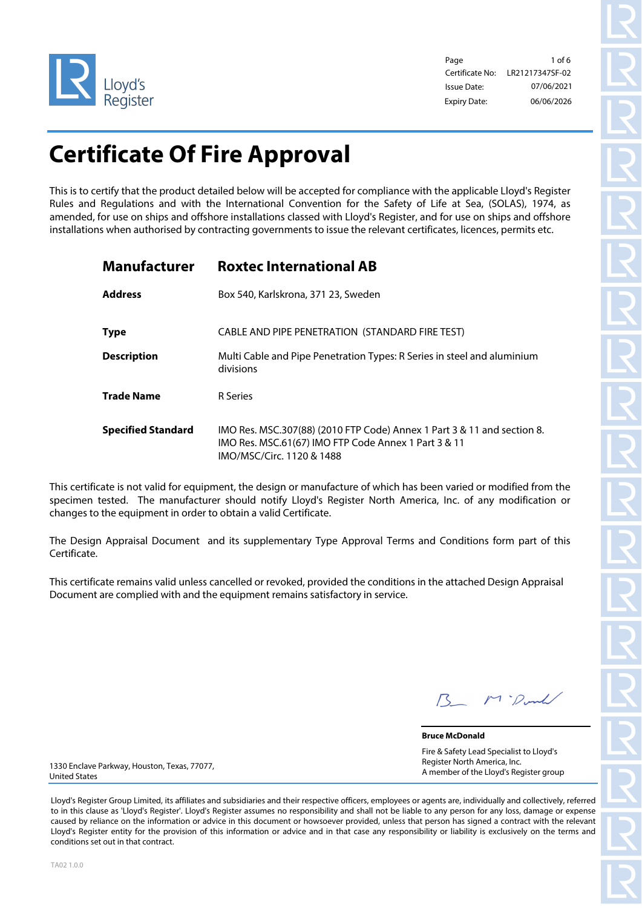

Page 1 of 6 Certificate No: Issue Date: Expiry Date: 06/06/2026 07/06/2021 LR21217347SF-02

# **Certificate Of Fire Approval**

This is to certify that the product detailed below will be accepted for compliance with the applicable Lloyd's Register Rules and Regulations and with the International Convention for the Safety of Life at Sea, (SOLAS), 1974, as amended, for use on ships and offshore installations classed with Lloyd's Register, and for use on ships and offshore installations when authorised by contracting governments to issue the relevant certificates, licences, permits etc.

| <b>Manufacturer</b>       | <b>Roxtec International AB</b>                                                                                                                               |
|---------------------------|--------------------------------------------------------------------------------------------------------------------------------------------------------------|
| <b>Address</b>            | Box 540, Karlskrona, 371 23, Sweden                                                                                                                          |
| <b>Type</b>               | CABLE AND PIPE PENETRATION (STANDARD FIRE TEST)                                                                                                              |
| <b>Description</b>        | Multi Cable and Pipe Penetration Types: R Series in steel and aluminium<br>divisions                                                                         |
| <b>Trade Name</b>         | R Series                                                                                                                                                     |
| <b>Specified Standard</b> | IMO Res. MSC.307(88) (2010 FTP Code) Annex 1 Part 3 & 11 and section 8.<br>IMO Res. MSC.61(67) IMO FTP Code Annex 1 Part 3 & 11<br>IMO/MSC/Circ. 1120 & 1488 |

This certificate is not valid for equipment, the design or manufacture of which has been varied or modified from the specimen tested. The manufacturer should notify Lloyd's Register North America, Inc. of any modification or changes to the equipment in order to obtain a valid Certificate.

The Design Appraisal Document and its supplementary Type Approval Terms and Conditions form part of this Certificate.

This certificate remains valid unless cancelled or revoked, provided the conditions in the attached Design Appraisal Document are complied with and the equipment remains satisfactory in service.

M. Donk

**Bruce McDonald** Fire & Safety Lead Specialist to Lloyd's Register North America, Inc. A member of the Lloyd's Register group

1330 Enclave Parkway, Houston, Texas, 77077, United States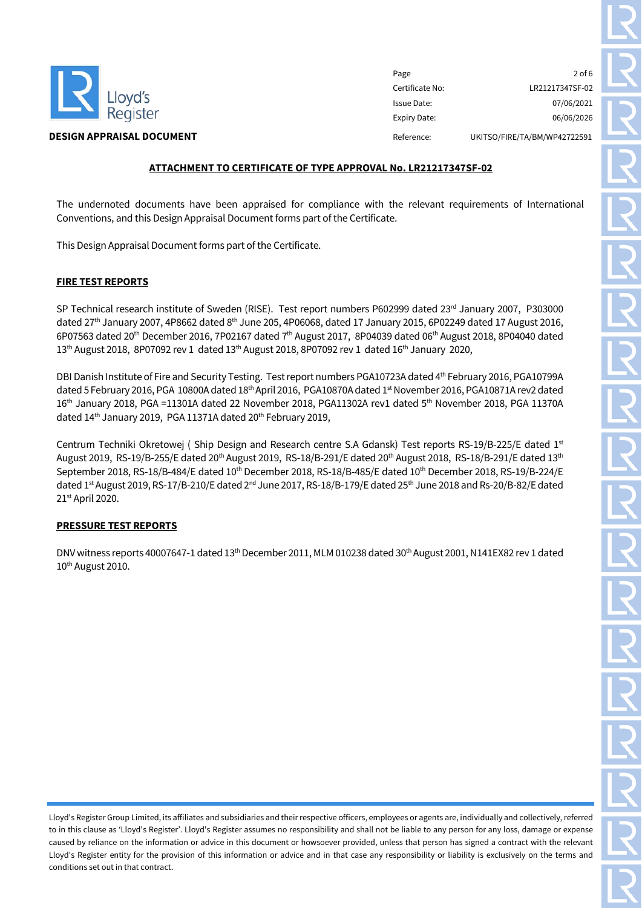

Page 2 of 6 Certificate No: LR21217347SF-02 Issue Date: 07/06/2021 Expiry Date: 06/06/2026 **DESIGN APPRAISAL DOCUMENT Reference:** UKITSO/FIRE/TA/BM/WP42722591

# **ATTACHMENT TO CERTIFICATE OF TYPE APPROVAL No. LR21217347SF-02**

The undernoted documents have been appraised for compliance with the relevant requirements of International Conventions, and this Design Appraisal Document forms part of the Certificate.

This Design Appraisal Document forms part of the Certificate.

# **FIRE TEST REPORTS**

SP Technical research institute of Sweden (RISE). Test report numbers P602999 dated 23rd January 2007, P303000 dated 27<sup>th</sup> January 2007, 4P8662 dated 8<sup>th</sup> June 205, 4P06068, dated 17 January 2015, 6P02249 dated 17 August 2016, 6P07563 dated 20th December 2016, 7P02167 dated 7th August 2017, 8P04039 dated 06th August 2018, 8P04040 dated 13<sup>th</sup> August 2018, 8P07092 rev 1 dated 13<sup>th</sup> August 2018, 8P07092 rev 1 dated 16<sup>th</sup> January 2020,

DBI Danish Institute of Fire and Security Testing. Test report numbers PGA10723A dated 4<sup>th</sup> February 2016, PGA10799A dated 5 February 2016, PGA 10800A dated 18th April 2016, PGA10870A dated 1st November 2016, PGA10871A rev2 dated 16th January 2018, PGA =11301A dated 22 November 2018, PGA11302A rev1 dated 5th November 2018, PGA 11370A dated 14<sup>th</sup> January 2019, PGA 11371A dated 20<sup>th</sup> February 2019,

Centrum Techniki Okretowej ( Ship Design and Research centre S.A Gdansk) Test reports RS-19/B-225/E dated 1<sup>st</sup> August 2019, RS-19/B-255/E dated 20<sup>th</sup> August 2019, RS-18/B-291/E dated 20<sup>th</sup> August 2018, RS-18/B-291/E dated 13<sup>th</sup> September 2018, RS-18/B-484/E dated 10th December 2018, RS-18/B-485/E dated 10th December 2018, RS-19/B-224/E dated 1st August 2019, RS-17/B-210/E dated 2<sup>nd</sup> June 2017, RS-18/B-179/E dated 25<sup>th</sup> June 2018 and Rs-20/B-82/E dated 21st April 2020.

## **PRESSURE TEST REPORTS**

DNV witness reports 40007647-1 dated  $13<sup>th</sup>$  December 2011, MLM 010238 dated 30<sup>th</sup> August 2001, N141EX82 rev 1 dated 10<sup>th</sup> August 2010.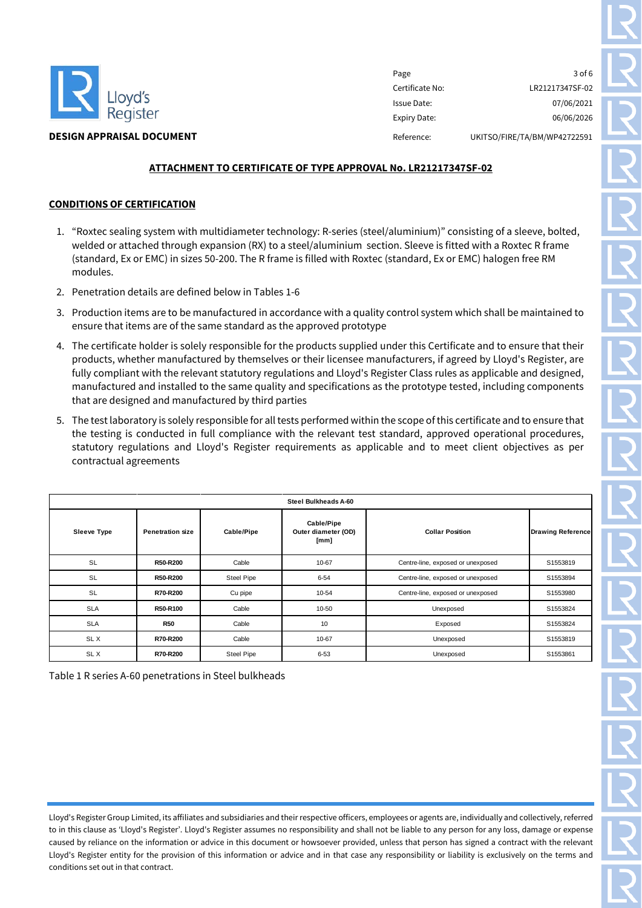

Page 3 of 6 Certificate No: LR21217347SF-02 Issue Date: 07/06/2021 Expiry Date: 06/06/2026 **DESIGN APPRAISAL DOCUMENT Reference:** UKITSO/FIRE/TA/BM/WP42722591

# **ATTACHMENT TO CERTIFICATE OF TYPE APPROVAL No. LR21217347SF-02**

# **CONDITIONS OF CERTIFICATION**

- 1. "Roxtec sealing system with multidiameter technology: R-series (steel/aluminium)" consisting of a sleeve, bolted, welded or attached through expansion (RX) to a steel/aluminium section. Sleeve is fitted with a Roxtec R frame (standard, Ex or EMC) in sizes 50-200. The R frame is filled with Roxtec (standard, Ex or EMC) halogen free RM modules.
- 2. Penetration details are defined below in Tables 1-6
- 3. Production items are to be manufactured in accordance with a quality control system which shall be maintained to ensure that items are of the same standard as the approved prototype
- 4. The certificate holder is solely responsible for the products supplied under this Certificate and to ensure that their products, whether manufactured by themselves or their licensee manufacturers, if agreed by Lloyd's Register, are fully compliant with the relevant statutory regulations and Lloyd's Register Class rules as applicable and designed, manufactured and installed to the same quality and specifications as the prototype tested, including components that are designed and manufactured by third parties
- 5. The test laboratory is solely responsible for all tests performed within the scope of this certificate and to ensure that the testing is conducted in full compliance with the relevant test standard, approved operational procedures, statutory regulations and Lloyd's Register requirements as applicable and to meet client objectives as per contractual agreements

|                                               | Steel Bulkheads A-60 |            |                                           |                        |                                   |          |  |
|-----------------------------------------------|----------------------|------------|-------------------------------------------|------------------------|-----------------------------------|----------|--|
| <b>Sleeve Type</b><br><b>Penetration size</b> |                      | Cable/Pipe | Cable/Pipe<br>Outer diameter (OD)<br>[mm] | <b>Collar Position</b> | <b>Drawing Reference</b>          |          |  |
|                                               | <b>SL</b>            | R50-R200   | Cable                                     | 10-67                  | Centre-line, exposed or unexposed | S1553819 |  |
|                                               | <b>SL</b>            | R50-R200   | <b>Steel Pipe</b>                         | $6 - 54$               | Centre-line, exposed or unexposed | S1553894 |  |
|                                               | <b>SL</b>            | R70-R200   | Cu pipe                                   | 10-54                  | Centre-line, exposed or unexposed | S1553980 |  |
|                                               | <b>SLA</b>           | R50-R100   | Cable                                     | 10-50                  | Unexposed                         | S1553824 |  |
|                                               | <b>SLA</b>           | <b>R50</b> | Cable                                     | 10                     | Exposed                           | S1553824 |  |
|                                               | SL X                 | R70-R200   | Cable                                     | 10-67                  | Unexposed                         | S1553819 |  |
|                                               | SL X                 | R70-R200   | <b>Steel Pipe</b>                         | $6 - 53$               | Unexposed                         | S1553861 |  |

Table 1 R series A-60 penetrations in Steel bulkheads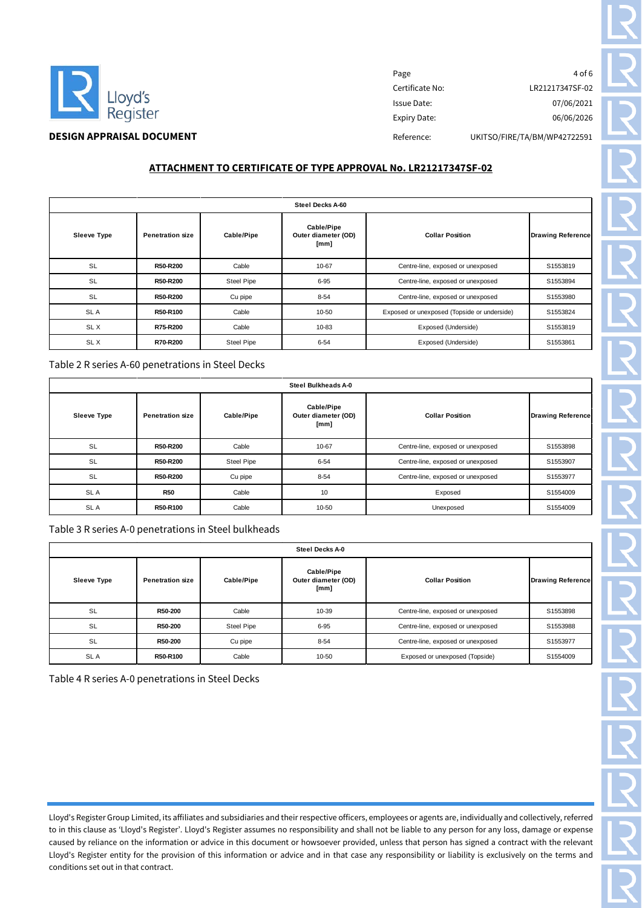

# Page 4 of 6 Certificate No: LR21217347SF-02 Issue Date: 07/06/2021 Expiry Date: 06/06/2026 **DESIGN APPRAISAL DOCUMENT** DESIGN APPRAISAL **DOCUMENT** DESIGN APPRAISAL **DOCUMENT**

**ATTACHMENT TO CERTIFICATE OF TYPE APPROVAL No. LR21217347SF-02**

| Steel Decks A-60   |                         |                   |                                                                     |                                               |                          |
|--------------------|-------------------------|-------------------|---------------------------------------------------------------------|-----------------------------------------------|--------------------------|
| <b>Sleeve Type</b> | <b>Penetration size</b> | <b>Cable/Pipe</b> | Cable/Pipe<br><b>Collar Position</b><br>Outer diameter (OD)<br>[mm] |                                               | <b>Drawing Reference</b> |
| <b>SL</b>          | R50-R200                | Cable             | 10-67                                                               | Centre-line, exposed or unexposed             | S1553819                 |
| <b>SL</b>          | R50-R200                | <b>Steel Pipe</b> | $6 - 95$                                                            | S1553894<br>Centre-line, exposed or unexposed |                          |
| <b>SL</b>          | R50-R200                | Cu pipe           | $8 - 54$                                                            | S1553980<br>Centre-line, exposed or unexposed |                          |
| SL A               | R50-R100                | Cable             | 10-50                                                               | Exposed or unexposed (Topside or underside)   | S1553824                 |
| SL X               | R75-R200                | Cable             | 10-83                                                               | Exposed (Underside)                           | S1553819                 |
| SL X               | R70-R200                | Steel Pipe        | $6 - 54$                                                            | Exposed (Underside)                           | S1553861                 |

Table 2 R series A-60 penetrations in Steel Decks

| Steel Bulkheads A-0 |                         |                   |                                           |                                                    |          |
|---------------------|-------------------------|-------------------|-------------------------------------------|----------------------------------------------------|----------|
| <b>Sleeve Type</b>  | <b>Penetration size</b> | Cable/Pipe        | Cable/Pipe<br>Outer diameter (OD)<br>[mm] | <b>Collar Position</b><br><b>Drawing Reference</b> |          |
| <b>SL</b>           | R50-R200                | Cable             | 10-67                                     | Centre-line, exposed or unexposed                  | S1553898 |
| <b>SL</b>           | R50-R200                | <b>Steel Pipe</b> | $6 - 54$                                  | S1553907<br>Centre-line, exposed or unexposed      |          |
| <b>SL</b>           | R50-R200                | Cu pipe           | $8 - 54$                                  | Centre-line, exposed or unexposed<br>S1553977      |          |
| SL A                | <b>R50</b>              | Cable             | 10                                        | Exposed<br>S1554009                                |          |
| SL A                | R50-R100                | Cable             | 10-50                                     | S1554009<br>Unexposed                              |          |

Table 3 R series A-0 penetrations in Steel bulkheads

| Steel Decks A-0                                                                   |          |                     |                        |                                   |          |
|-----------------------------------------------------------------------------------|----------|---------------------|------------------------|-----------------------------------|----------|
| Cable/Pipe<br>Cable/Pipe<br><b>Sleeve Type</b><br><b>Penetration size</b><br>[mm] |          | Outer diameter (OD) | <b>Collar Position</b> | <b>Drawing Reference</b>          |          |
| <b>SL</b>                                                                         | R50-200  | Cable               | 10-39                  | Centre-line, exposed or unexposed | S1553898 |
| <b>SL</b>                                                                         | R50-200  | <b>Steel Pipe</b>   | $6 - 95$               | Centre-line, exposed or unexposed | S1553988 |
| <b>SL</b>                                                                         | R50-200  | Cu pipe             | $8 - 54$               | Centre-line, exposed or unexposed | S1553977 |
| <b>SLA</b>                                                                        | R50-R100 | Cable               | 10-50                  | Exposed or unexposed (Topside)    | S1554009 |

Table 4 R series A-0 penetrations in Steel Decks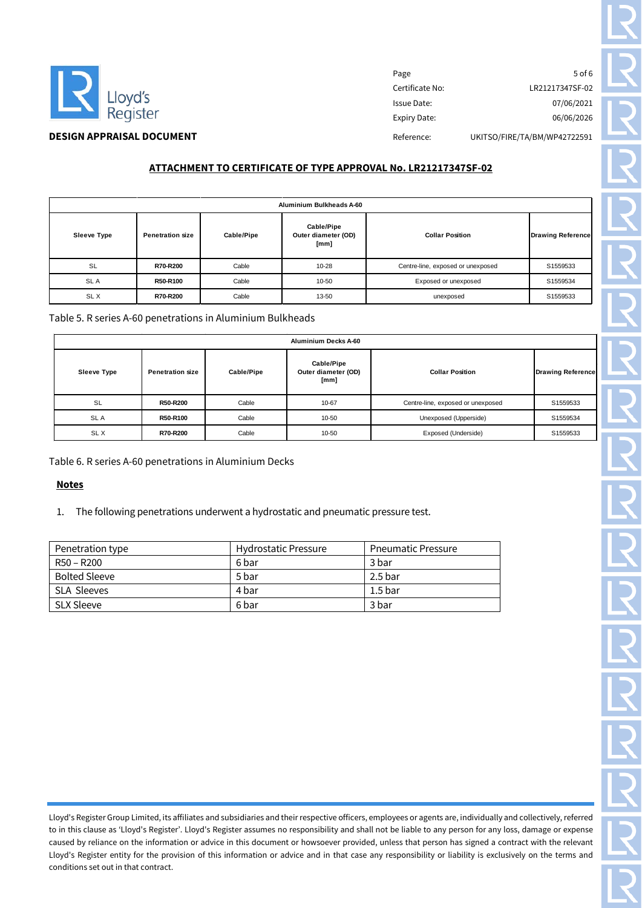

Page 5 of 6 Certificate No: LR21217347SF-02 Issue Date: 07/06/2021 Expiry Date: 06/06/2026 **DESIGN APPRAISAL DOCUMENT** DESIGN APPRAISAL **DOCUMENT** DESIGN APPRAISAL **DOCUMENT** 

**ATTACHMENT TO CERTIFICATE OF TYPE APPROVAL No. LR21217347SF-02**

| Aluminium Bulkheads A-60                                                                                                           |          |       |       |                                               |          |
|------------------------------------------------------------------------------------------------------------------------------------|----------|-------|-------|-----------------------------------------------|----------|
| <b>Cable/Pipe</b><br>Cable/Pipe<br>Outer diameter (OD)<br><b>Collar Position</b><br>Sleeve Type<br><b>Penetration size</b><br>[mm] |          |       |       | <b>Drawing Reference</b>                      |          |
| SL                                                                                                                                 | R70-R200 | Cable | 10-28 | Centre-line, exposed or unexposed<br>S1559533 |          |
| <b>SLA</b>                                                                                                                         | R50-R100 | Cable | 10-50 | Exposed or unexposed                          | S1559534 |
| SL X                                                                                                                               | R70-R200 | Cable | 13-50 | unexposed                                     | S1559533 |

Table 5. R series A-60 penetrations in Aluminium Bulkheads

| Aluminium Decks A-60                    |                                                                                    |                                   |                        |                          |          |
|-----------------------------------------|------------------------------------------------------------------------------------|-----------------------------------|------------------------|--------------------------|----------|
| <b>Sleeve Type</b>                      | Cable/Pipe<br>Cable/Pipe<br>Outer diameter (OD)<br><b>Penetration size</b><br>[mm] |                                   | <b>Collar Position</b> | <b>Drawing Reference</b> |          |
| <b>SL</b><br>Cable<br>10-67<br>R50-R200 |                                                                                    | Centre-line, exposed or unexposed | S1559533               |                          |          |
| SL A                                    | R50-R100                                                                           | Cable                             | 10-50                  | Unexposed (Upperside)    | S1559534 |
| SL X                                    | R70-R200                                                                           | Cable                             | 10-50                  | Exposed (Underside)      | S1559533 |

Table 6. R series A-60 penetrations in Aluminium Decks

# **Notes**

1. The following penetrations underwent a hydrostatic and pneumatic pressure test.

| Penetration type     | <b>Hydrostatic Pressure</b> | <b>Pneumatic Pressure</b> |
|----------------------|-----------------------------|---------------------------|
| $R50 - R200$         | 6 bar                       | 3 bar                     |
| <b>Bolted Sleeve</b> | 5 bar                       | 2.5 bar                   |
| SLA Sleeves          | 4 bar                       | $1.5$ bar                 |
| <b>SLX Sleeve</b>    | 6 bar                       | 3 bar                     |